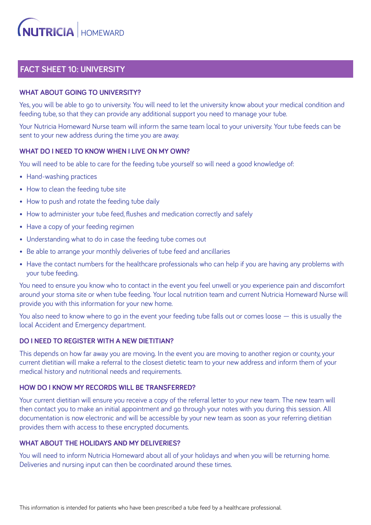# **FACT SHEET 10: UNIVERSITY**

# **WHAT ABOUT GOING TO UNIVERSITY?**

Yes, you will be able to go to university. You will need to let the university know about your medical condition and feeding tube, so that they can provide any additional support you need to manage your tube.

Your Nutricia Homeward Nurse team will inform the same team local to your university. Your tube feeds can be sent to your new address during the time you are away.

### **WHAT DO I NEED TO KNOW WHEN I LIVE ON MY OWN?**

You will need to be able to care for the feeding tube yourself so will need a good knowledge of:

- Hand-washing practices
- How to clean the feeding tube site
- How to push and rotate the feeding tube daily
- How to administer your tube feed, flushes and medication correctly and safely
- Have a copy of your feeding regimen
- Understanding what to do in case the feeding tube comes out
- Be able to arrange your monthly deliveries of tube feed and ancillaries
- Have the contact numbers for the healthcare professionals who can help if you are having any problems with your tube feeding.

You need to ensure you know who to contact in the event you feel unwell or you experience pain and discomfort around your stoma site or when tube feeding. Your local nutrition team and current Nutricia Homeward Nurse will provide you with this information for your new home.

You also need to know where to go in the event your feeding tube falls out or comes loose — this is usually the local Accident and Emergency department.

# **DO I NEED TO REGISTER WITH A NEW DIETITIAN?**

This depends on how far away you are moving. In the event you are moving to another region or county, your current dietitian will make a referral to the closest dietetic team to your new address and inform them of your medical history and nutritional needs and requirements.

#### **HOW DO I KNOW MY RECORDS WILL BE TRANSFERRED?**

Your current dietitian will ensure you receive a copy of the referral letter to your new team. The new team will then contact you to make an initial appointment and go through your notes with you during this session. All documentation is now electronic and will be accessible by your new team as soon as your referring dietitian provides them with access to these encrypted documents.

# **WHAT ABOUT THE HOLIDAYS AND MY DELIVERIES?**

You will need to inform Nutricia Homeward about all of your holidays and when you will be returning home. Deliveries and nursing input can then be coordinated around these times.